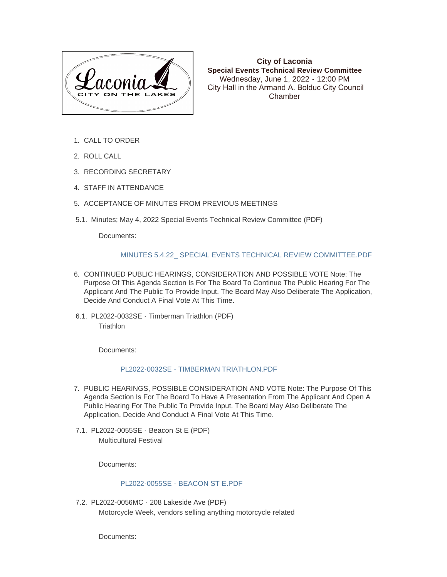

**City of Laconia Special Events Technical Review Committee** Wednesday, June 1, 2022 - 12:00 PM City Hall in the Armand A. Bolduc City Council Chamber

- 1. CALL TO ORDER
- 2. ROLL CALL
- 3. RECORDING SECRETARY
- 4. STAFF IN ATTENDANCE
- 5. ACCEPTANCE OF MINUTES FROM PREVIOUS MEETINGS
- 5.1. Minutes; May 4, 2022 Special Events Technical Review Committee (PDF)

Documents:

## [MINUTES 5.4.22\\_ SPECIAL EVENTS TECHNICAL REVIEW COMMITTEE.PDF](https://www.laconianh.gov/AgendaCenter/ViewFile/Item/20960?fileID=43568)

- 6. CONTINUED PUBLIC HEARINGS, CONSIDERATION AND POSSIBLE VOTE Note: The Purpose Of This Agenda Section Is For The Board To Continue The Public Hearing For The Applicant And The Public To Provide Input. The Board May Also Deliberate The Application, Decide And Conduct A Final Vote At This Time.
- 6.1. PL2022-0032SE Timberman Triathlon (PDF) **Triathlon**

Documents:

## [PL2022-0032SE - TIMBERMAN TRIATHLON.PDF](https://www.laconianh.gov/AgendaCenter/ViewFile/Item/20853?fileID=43557)

- 7. PUBLIC HEARINGS, POSSIBLE CONSIDERATION AND VOTE Note: The Purpose Of This Agenda Section Is For The Board To Have A Presentation From The Applicant And Open A Public Hearing For The Public To Provide Input. The Board May Also Deliberate The Application, Decide And Conduct A Final Vote At This Time.
- 7.1. PL2022-0055SE Beacon St E (PDF) Multicultural Festival

Documents:

## [PL2022-0055SE - BEACON ST E.PDF](https://www.laconianh.gov/AgendaCenter/ViewFile/Item/20845?fileID=43543)

PL2022-0056MC - 208 Lakeside Ave (PDF) 7.2. Motorcycle Week, vendors selling anything motorcycle related

Documents: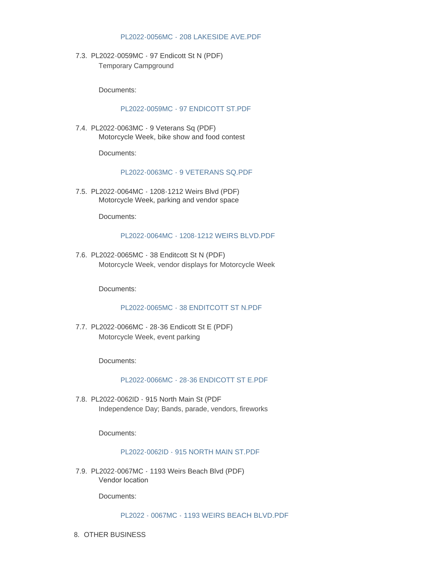## [PL2022-0056MC - 208 LAKESIDE AVE.PDF](https://www.laconianh.gov/AgendaCenter/ViewFile/Item/20849?fileID=43547)

PL2022-0059MC - 97 Endicott St N (PDF) 7.3. Temporary Campground

Documents:

# [PL2022-0059MC - 97 ENDICOTT ST.PDF](https://www.laconianh.gov/AgendaCenter/ViewFile/Item/20841?fileID=43532)

PL2022-0063MC - 9 Veterans Sq (PDF) 7.4. Motorcycle Week, bike show and food contest

Documents:

## [PL2022-0063MC - 9 VETERANS SQ.PDF](https://www.laconianh.gov/AgendaCenter/ViewFile/Item/20847?fileID=43545)

PL2022-0064MC - 1208-1212 Weirs Blvd (PDF) 7.5. Motorcycle Week, parking and vendor space

Documents:

#### [PL2022-0064MC - 1208-1212 WEIRS BLVD.PDF](https://www.laconianh.gov/AgendaCenter/ViewFile/Item/20846?fileID=43544)

PL2022-0065MC - 38 Enditcott St N (PDF) 7.6. Motorcycle Week, vendor displays for Motorcycle Week

Documents:

## [PL2022-0065MC - 38 ENDITCOTT ST N.PDF](https://www.laconianh.gov/AgendaCenter/ViewFile/Item/20850?fileID=43548)

PL2022-0066MC - 28-36 Endicott St E (PDF) 7.7. Motorcycle Week, event parking

Documents:

# [PL2022-0066MC - 28-36 ENDICOTT ST E.PDF](https://www.laconianh.gov/AgendaCenter/ViewFile/Item/20848?fileID=43546)

PL2022-0062ID - 915 North Main St (PDF 7.8. Independence Day; Bands, parade, vendors, fireworks

Documents:

## [PL2022-0062ID - 915 NORTH MAIN ST.PDF](https://www.laconianh.gov/AgendaCenter/ViewFile/Item/20852?fileID=43556)

PL2022-0067MC - 1193 Weirs Beach Blvd (PDF) 7.9. Vendor location

Documents:

[PL2022 - 0067MC - 1193 WEIRS BEACH BLVD.PDF](https://www.laconianh.gov/AgendaCenter/ViewFile/Item/20961?fileID=43569)

8. OTHER BUSINESS